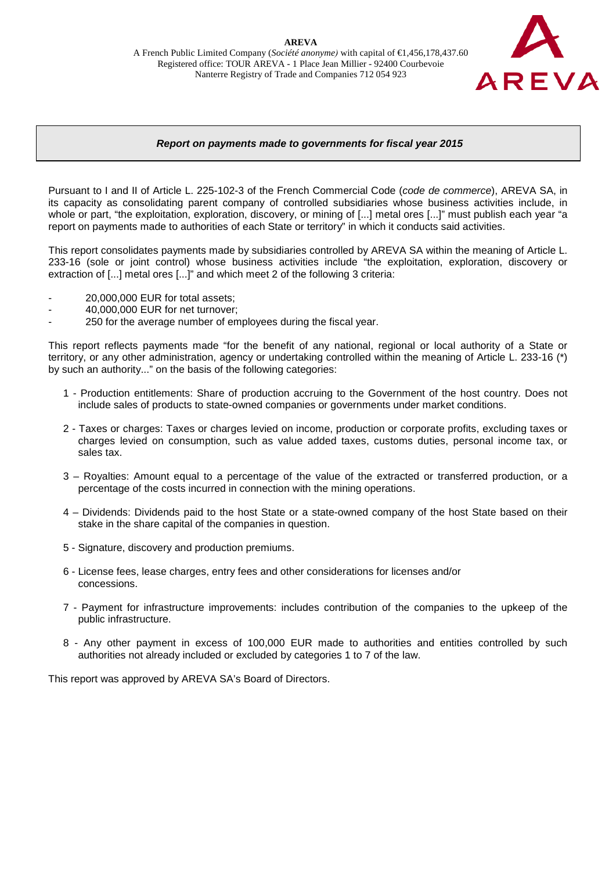

## *Report on payments made to governments for fiscal year 2015*

Pursuant to I and II of Article L. 225-102-3 of the French Commercial Code (*code de commerce*), AREVA SA, in its capacity as consolidating parent company of controlled subsidiaries whose business activities include, in whole or part, "the exploitation, exploration, discovery, or mining of [...] metal ores [...]" must publish each year "a report on payments made to authorities of each State or territory" in which it conducts said activities.

This report consolidates payments made by subsidiaries controlled by AREVA SA within the meaning of Article L. 233-16 (sole or joint control) whose business activities include "the exploitation, exploration, discovery or extraction of [...] metal ores [...]" and which meet 2 of the following 3 criteria:

- 20,000,000 EUR for total assets;
- 40,000,000 EUR for net turnover;
- 250 for the average number of employees during the fiscal year.

This report reflects payments made "for the benefit of any national, regional or local authority of a State or territory, or any other administration, agency or undertaking controlled within the meaning of Article L. 233-16 (\*) by such an authority..." on the basis of the following categories:

- 1 Production entitlements: Share of production accruing to the Government of the host country. Does not include sales of products to state-owned companies or governments under market conditions.
- 2 Taxes or charges: Taxes or charges levied on income, production or corporate profits, excluding taxes or charges levied on consumption, such as value added taxes, customs duties, personal income tax, or sales tax.
- 3 Royalties: Amount equal to a percentage of the value of the extracted or transferred production, or a percentage of the costs incurred in connection with the mining operations.
- 4 Dividends: Dividends paid to the host State or a state-owned company of the host State based on their stake in the share capital of the companies in question.
- 5 Signature, discovery and production premiums.
- 6 License fees, lease charges, entry fees and other considerations for licenses and/or concessions.
- 7 Payment for infrastructure improvements: includes contribution of the companies to the upkeep of the public infrastructure.
- 8 Any other payment in excess of 100,000 EUR made to authorities and entities controlled by such authorities not already included or excluded by categories 1 to 7 of the law.

This report was approved by AREVA SA's Board of Directors.